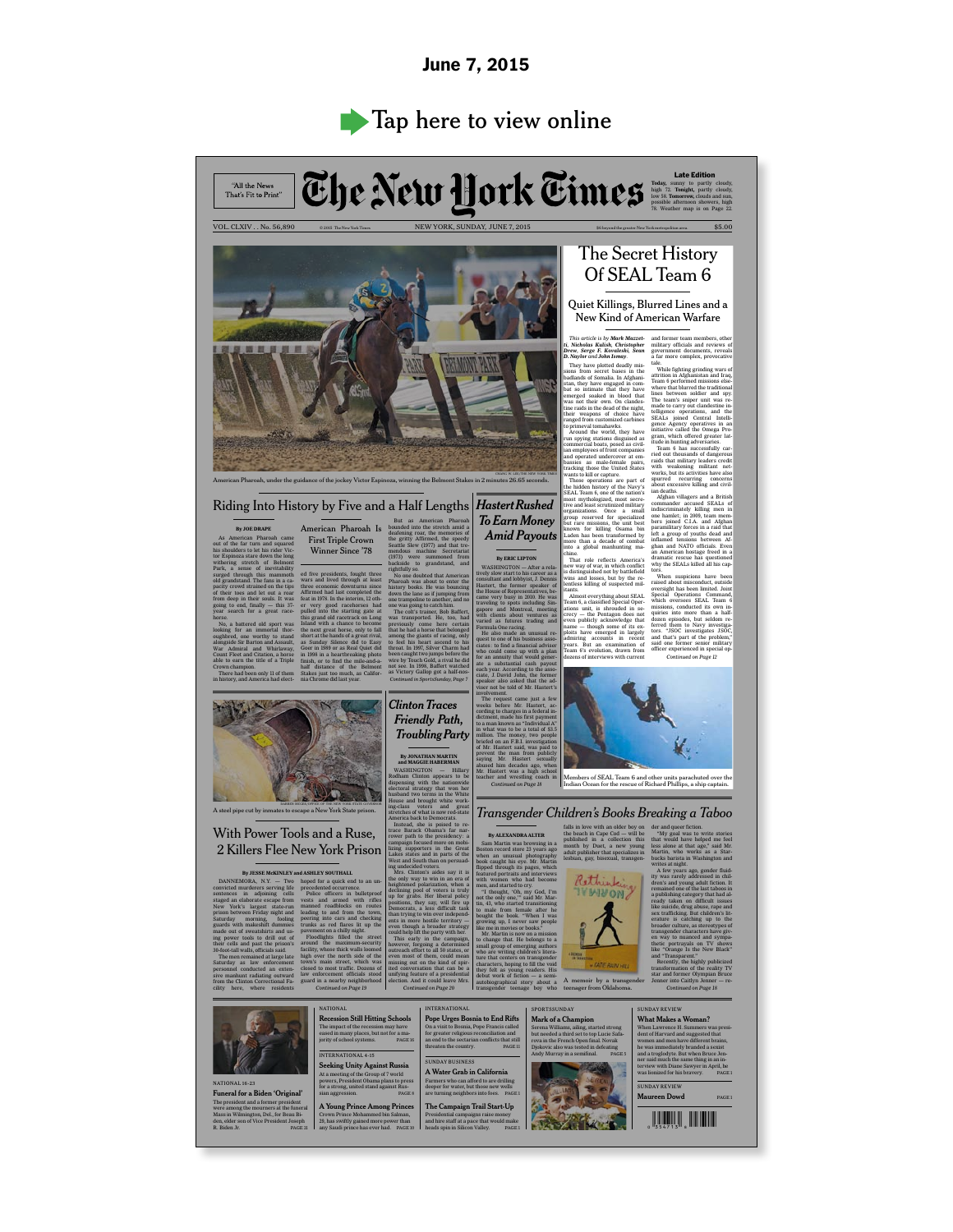